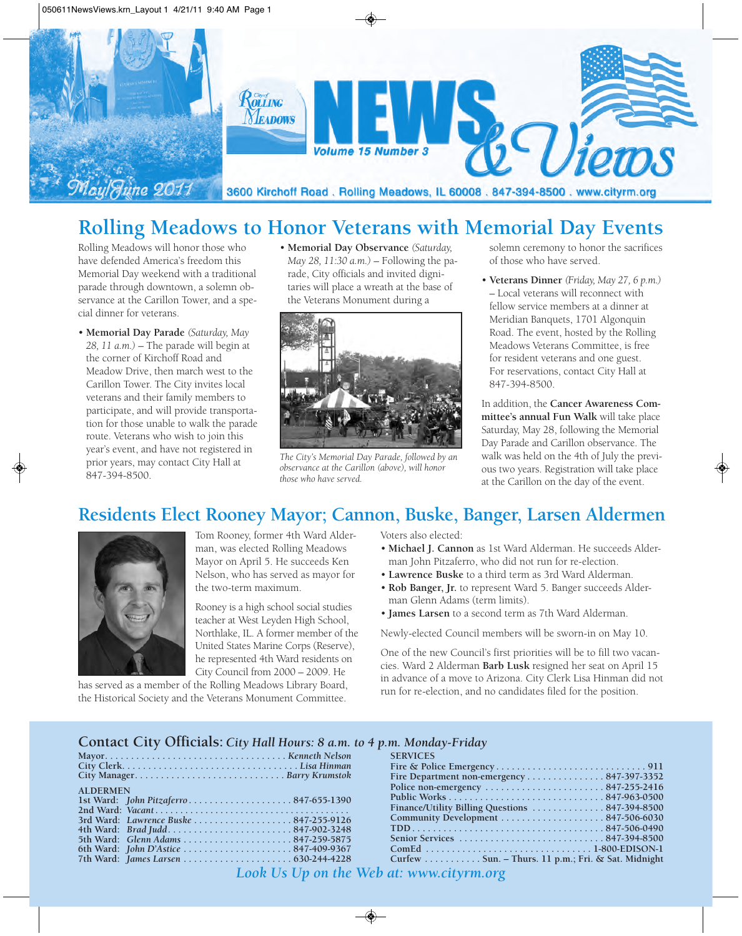

# **Rolling Meadows to Honor Veterans with Memorial Day Events**

Rolling Meadows will honor those who have defended America's freedom this Memorial Day weekend with a traditional parade through downtown, a solemn observance at the Carillon Tower, and a special dinner for veterans.

- **Memorial Day Parade** *(Saturday, May 28, 11 a.m.)* – The parade will begin at the corner of Kirchoff Road and Meadow Drive, then march west to the Carillon Tower. The City invites local veterans and their family members to participate, and will provide transportation for those unable to walk the parade route. Veterans who wish to join this year's event, and have not registered in prior years, may contact City Hall at 847-394-8500.
- **Memorial Day Observance** *(Saturday, May 28, 11:30 a.m.)* – Following the parade, City officials and invited dignitaries will place a wreath at the base of the Veterans Monument during a



*The City's Memorial Day Parade, followed by an observance at the Carillon (above), will honor those who have served.*

solemn ceremony to honor the sacrifices of those who have served.

• **Veterans Dinner** *(Friday, May 27, 6 p.m.)* – Local veterans will reconnect with fellow service members at a dinner at Meridian Banquets, 1701 Algonquin Road. The event, hosted by the Rolling Meadows Veterans Committee, is free for resident veterans and one guest. For reservations, contact City Hall at 847-394-8500.

In addition, the **Cancer Awareness Committee's annual Fun Walk** will take place Saturday, May 28, following the Memorial Day Parade and Carillon observance. The walk was held on the 4th of July the previous two years. Registration will take place at the Carillon on the day of the event.

#### **Residents Elect Rooney Mayor; Cannon, Buske, Banger, Larsen Aldermen**



Tom Rooney, former 4th Ward Alderman, was elected Rolling Meadows Mayor on April 5. He succeeds Ken Nelson, who has served as mayor for the two-term maximum.

Rooney is a high school social studies teacher at West Leyden High School, Northlake, IL. A former member of the United States Marine Corps (Reserve), he represented 4th Ward residents on City Council from 2000 – 2009. He

has served as a member of the Rolling Meadows Library Board, the Historical Society and the Veterans Monument Committee.

Voters also elected:

- **Michael J. Cannon** as 1st Ward Alderman. He succeeds Alderman John Pitzaferro, who did not run for re-election.
- **Lawrence Buske** to a third term as 3rd Ward Alderman.
- **Rob Banger, Jr.** to represent Ward 5. Banger succeeds Alderman Glenn Adams (term limits).
- **James Larsen** to a second term as 7th Ward Alderman.

Newly-elected Council members will be sworn-in on May 10.

One of the new Council's first priorities will be to fill two vacancies. Ward 2 Alderman **Barb Lusk** resigned her seat on April 15 in advance of a move to Arizona. City Clerk Lisa Hinman did not run for re-election, and no candidates filed for the position.

#### **Contact City Officials:** *City Hall Hours: 8 a.m. to 4 p.m. Monday-Friday*

|                                      | <b>SERVICES</b>                                    |
|--------------------------------------|----------------------------------------------------|
|                                      |                                                    |
|                                      | Fire Department non-emergency 847-397-3352         |
| <b>ALDERMEN</b>                      |                                                    |
|                                      |                                                    |
|                                      |                                                    |
|                                      |                                                    |
| 4th Ward: Brad Judd847-902-3248      |                                                    |
| 5th Ward: Glenn Adams 847-259-5875   |                                                    |
| 6th Ward: John D'Astice 847-409-9367 |                                                    |
|                                      | Curfew Sun. – Thurs. 11 p.m.; Fri. & Sat. Midnight |

*Look Us Up on the Web at: www.cityrm.org*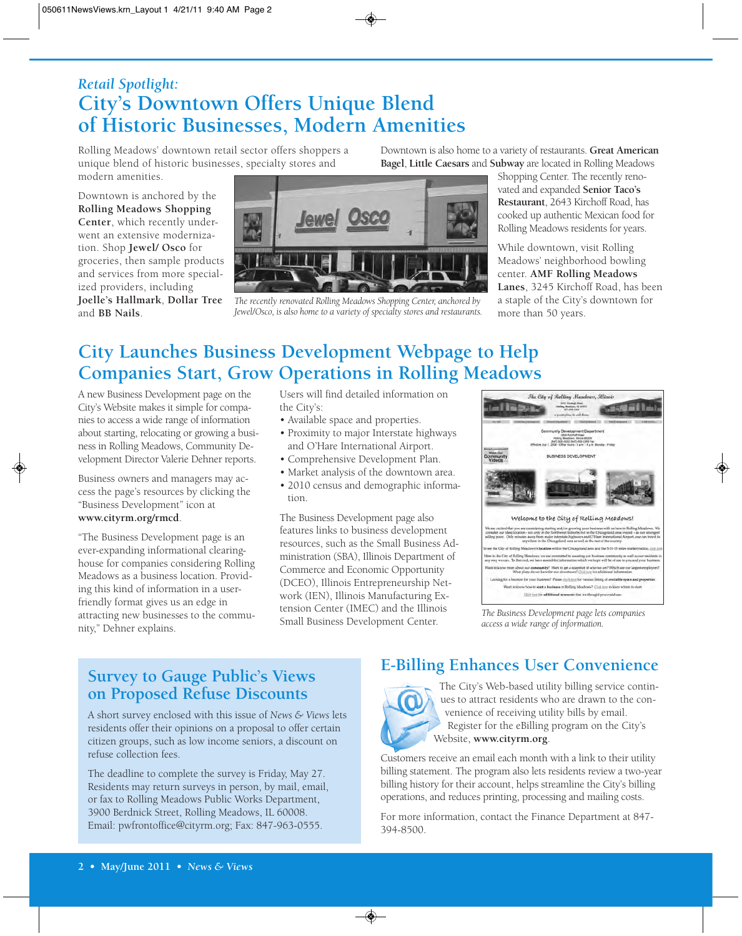### *Retail Spotlight:* **City's Downtown Offers Unique Blend of Historic Businesses, Modern Amenities**

Rolling Meadows' downtown retail sector offers shoppers a unique blend of historic businesses, specialty stores and modern amenities.

Downtown is anchored by the **Rolling Meadows Shopping Center**, which recently underwent an extensive modernization. Shop **Jewel/ Osco** for groceries, then sample products and services from more specialized providers, including **Joelle's Hallmark**, **Dollar Tree** and **BB Nails**.



*The recently renovated Rolling Meadows Shopping Center, anchored by Jewel/Osco, is also home to a variety of specialty stores and restaurants.* 

Downtown is also home to a variety of restaurants. **Great American Bagel**, **Little Caesars** and **Subway** are located in Rolling Meadows

> Shopping Center. The recently renovated and expanded **Senior Taco's Restaurant**, 2643 Kirchoff Road, has cooked up authentic Mexican food for Rolling Meadows residents for years.

While downtown, visit Rolling Meadows' neighborhood bowling center. **AMF Rolling Meadows Lanes**, 3245 Kirchoff Road, has been a staple of the City's downtown for more than 50 years.

## **City Launches Business Development Webpage to Help Companies Start, Grow Operations in Rolling Meadows**

A new Business Development page on the City's Website makes it simple for companies to access a wide range of information about starting, relocating or growing a business in Rolling Meadows, Community Development Director Valerie Dehner reports.

Business owners and managers may access the page's resources by clicking the "Business Development" icon at **www.cityrm.org/rmcd**.

"The Business Development page is an ever-expanding informational clearinghouse for companies considering Rolling Meadows as a business location. Providing this kind of information in a userfriendly format gives us an edge in attracting new businesses to the community," Dehner explains.

Users will find detailed information on the City's:

- Available space and properties.
- Proximity to major Interstate highways and O'Hare International Airport.
- Comprehensive Development Plan.
- Market analysis of the downtown area.
- 2010 census and demographic information.

The Business Development page also features links to business development resources, such as the Small Business Administration (SBA), Illinois Department of Commerce and Economic Opportunity (DCEO), Illinois Entrepreneurship Network (IEN), Illinois Manufacturing Extension Center (IMEC) and the Illinois Small Business Development Center.



*The Business Development page lets companies access a wide range of information.*

#### **Survey to Gauge Public's Views on Proposed Refuse Discounts**

A short survey enclosed with this issue of *News & Views* lets residents offer their opinions on a proposal to offer certain citizen groups, such as low income seniors, a discount on refuse collection fees.

The deadline to complete the survey is Friday, May 27. Residents may return surveys in person, by mail, email, or fax to Rolling Meadows Public Works Department, 3900 Berdnick Street, Rolling Meadows, IL 60008. Email: pwfrontoffice@cityrm.org; Fax: 847-963-0555.

### **E-Billing Enhances User Convenience**



The City's Web-based utility billing service continues to attract residents who are drawn to the convenience of receiving utility bills by email. Register for the eBilling program on the City's Website, **www.cityrm.org**.

Customers receive an email each month with a link to their utility billing statement. The program also lets residents review a two-year billing history for their account, helps streamline the City's billing operations, and reduces printing, processing and mailing costs.

For more information, contact the Finance Department at 847- 394-8500.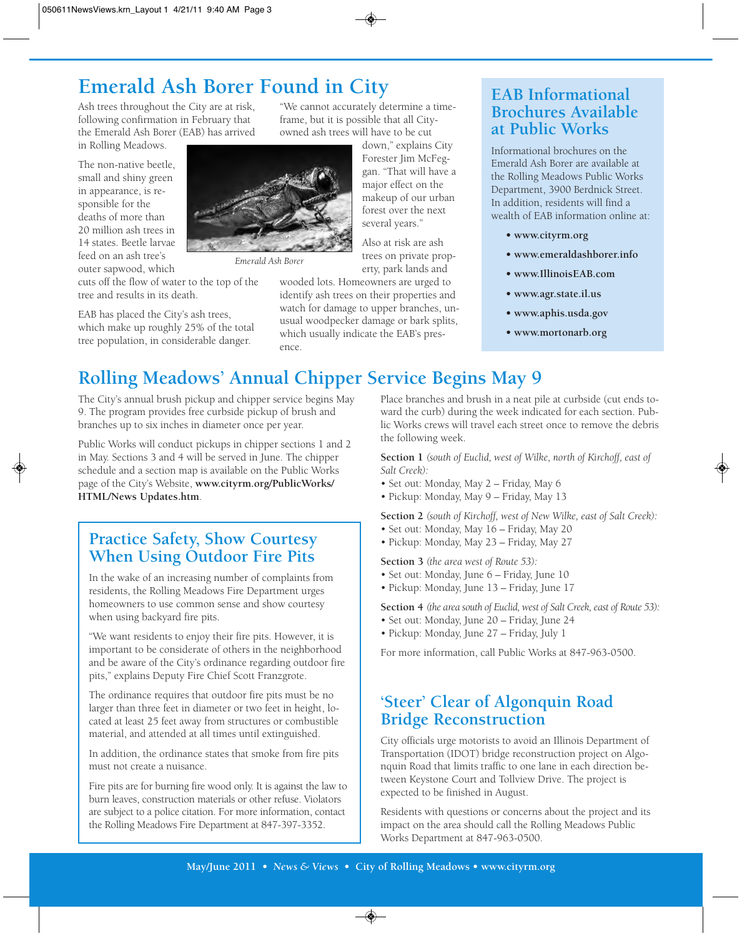# **Emerald Ash Borer Found in City**

Ash trees throughout the City are at risk, following confirmation in February that the Emerald Ash Borer (EAB) has arrived in Rolling Meadows.

The non-native beetle, small and shiny green in appearance, is responsible for the deaths of more than 20 million ash trees in 14 states. Beetle larvae feed on an ash tree's outer sapwood, which



*Emerald Ash Borer*

cuts off the flow of water to the top of the tree and results in its death.

EAB has placed the City's ash trees, which make up roughly 25% of the total tree population, in considerable danger.

"We cannot accurately determine a timeframe, but it is possible that all Cityowned ash trees will have to be cut

> down," explains City Forester Jim McFeggan. "That will have a major effect on the makeup of our urban forest over the next several years."

Also at risk are ash trees on private property, park lands and

wooded lots. Homeowners are urged to identify ash trees on their properties and watch for damage to upper branches, unusual woodpecker damage or bark splits, which usually indicate the EAB's presence.

#### Brochures Available  $M_{\rm F}$  and  $M_{\rm F}$  are confirmed to  $\overline{N}$ **at Public Works EAB Informational**

Informational brochures on the Emerald Ash Borer are available at the Rolling Meadows Public Works Department, 3900 Berdnick Street. In addition, residents will find a wealth of EAB information online at:

- **www.cityrm.org**
- **www.emeraldashborer.info**
- **www.IllinoisEAB.com**
- **www.agr.state.il.us**
- **www.aphis.usda.gov**
- **www.mortonarb.org**

## **Rolling Meadows' Annual Chipper Service Begins May 9**

The City's annual brush pickup and chipper service begins May 9. The program provides free curbside pickup of brush and branches up to six inches in diameter once per year.

Public Works will conduct pickups in chipper sections 1 and 2 in May. Sections 3 and 4 will be served in June. The chipper schedule and a section map is available on the Public Works page of the City's Website, **www.cityrm.org/PublicWorks/ HTML/News Updates.htm**.

**Practice Safety, Show Courtesy When Using Outdoor Fire Pits**

In the wake of an increasing number of complaints from residents, the Rolling Meadows Fire Department urges homeowners to use common sense and show courtesy when using backyard fire pits.

"We want residents to enjoy their fire pits. However, it is important to be considerate of others in the neighborhood and be aware of the City's ordinance regarding outdoor fire pits," explains Deputy Fire Chief Scott Franzgrote.

The ordinance requires that outdoor fire pits must be no larger than three feet in diameter or two feet in height, located at least 25 feet away from structures or combustible material, and attended at all times until extinguished.

In addition, the ordinance states that smoke from fire pits must not create a nuisance.

Fire pits are for burning fire wood only. It is against the law to burn leaves, construction materials or other refuse. Violators are subject to a police citation. For more information, contact the Rolling Meadows Fire Department at 847-397-3352.

Place branches and brush in a neat pile at curbside (cut ends toward the curb) during the week indicated for each section. Public Works crews will travel each street once to remove the debris the following week.

**Section 1** *(south of Euclid, west of Wilke, north of Kirchoff, east of Salt Creek):*

- Set out: Monday, May 2 Friday, May 6
- Pickup: Monday, May 9 Friday, May 13

**Section 2** *(south of Kirchoff, west of New Wilke, east of Salt Creek):*

- Set out: Monday, May 16 Friday, May 20
- Pickup: Monday, May 23 Friday, May 27

**Section 3** *(the area west of Route 53):*

- Set out: Monday, June 6 Friday, June 10
- Pickup: Monday, June 13 Friday, June 17

**Section 4** *(the area south of Euclid, west of Salt Creek, east of Route 53):*

- Set out: Monday, June 20 Friday, June 24
- Pickup: Monday, June 27 Friday, July 1

For more information, call Public Works at 847-963-0500.

#### **'Steer' Clear of Algonquin Road Bridge Reconstruction**

City officials urge motorists to avoid an Illinois Department of Transportation (IDOT) bridge reconstruction project on Algonquin Road that limits traffic to one lane in each direction between Keystone Court and Tollview Drive. The project is expected to be finished in August.

Residents with questions or concerns about the project and its impact on the area should call the Rolling Meadows Public Works Department at 847-963-0500.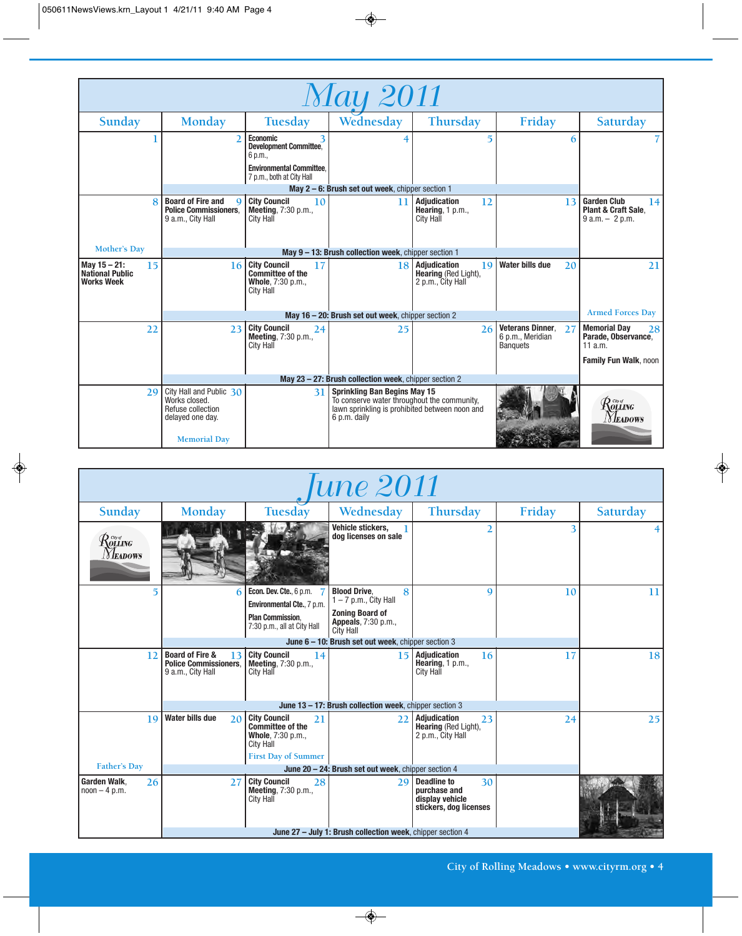| <i>May 2011</i>                                                      |                                                                                    |                                                                                               |                                                                                                                                                      |                                                                        |                                                                      |                                                                        |  |  |  |
|----------------------------------------------------------------------|------------------------------------------------------------------------------------|-----------------------------------------------------------------------------------------------|------------------------------------------------------------------------------------------------------------------------------------------------------|------------------------------------------------------------------------|----------------------------------------------------------------------|------------------------------------------------------------------------|--|--|--|
| Sunday                                                               | <b>Monday</b>                                                                      | Tuesday                                                                                       | Wednesday                                                                                                                                            | <b>Thursday</b>                                                        | Friday                                                               | Saturday                                                               |  |  |  |
|                                                                      | $\mathfrak{D}$                                                                     | <b>Economic</b><br><b>Development Committee.</b><br>6 p.m.,                                   |                                                                                                                                                      | 5                                                                      | 6                                                                    |                                                                        |  |  |  |
|                                                                      |                                                                                    | <b>Environmental Committee.</b><br>7 p.m., both at City Hall                                  |                                                                                                                                                      |                                                                        |                                                                      |                                                                        |  |  |  |
|                                                                      |                                                                                    |                                                                                               | May 2 – 6: Brush set out week, chipper section 1                                                                                                     |                                                                        |                                                                      |                                                                        |  |  |  |
|                                                                      | <b>Board of Fire and</b><br>Q<br><b>Police Commissioners.</b><br>9 a.m., City Hall | <b>City Council</b><br>10<br>Meeting, 7:30 p.m.,<br><b>City Hall</b>                          | 11                                                                                                                                                   | <b>Adiudication</b><br>12<br>Hearing, $1 p.m.,$<br><b>City Hall</b>    | 13                                                                   | <b>Garden Club</b><br> 14 <br>Plant & Craft Sale.<br>$9 a.m. - 2 p.m.$ |  |  |  |
| <b>Mother's Day</b>                                                  |                                                                                    |                                                                                               |                                                                                                                                                      |                                                                        |                                                                      |                                                                        |  |  |  |
|                                                                      | May 9 - 13: Brush collection week, chipper section 1                               |                                                                                               |                                                                                                                                                      |                                                                        |                                                                      |                                                                        |  |  |  |
| May $15 - 21$ :<br>15<br><b>National Public</b><br><b>Works Week</b> | 16                                                                                 | <b>City Council</b><br>17<br><b>Committee of the</b><br>Whole, 7:30 p.m.,<br><b>City Hall</b> | 18                                                                                                                                                   | <b>Adjudication</b><br>19<br>Hearing (Red Light),<br>2 p.m., City Hall | <b>Water bills due</b><br>20                                         | 21                                                                     |  |  |  |
|                                                                      | <b>Armed Forces Day</b><br>May 16 - 20: Brush set out week, chipper section 2      |                                                                                               |                                                                                                                                                      |                                                                        |                                                                      |                                                                        |  |  |  |
| 22                                                                   | 23                                                                                 | <b>City Council</b><br>24<br><b>Meeting, 7:30 p.m.,</b><br><b>City Hall</b>                   | 25                                                                                                                                                   | 26                                                                     | <b>Veterans Dinner.</b><br>27<br>6 p.m., Meridian<br><b>Banquets</b> | <b>Memorial Day</b><br><b>28</b><br>Parade, Observance,<br>11 a.m.     |  |  |  |
|                                                                      |                                                                                    |                                                                                               |                                                                                                                                                      |                                                                        |                                                                      | Family Fun Walk, noon                                                  |  |  |  |
| May 23 - 27: Brush collection week, chipper section 2                |                                                                                    |                                                                                               |                                                                                                                                                      |                                                                        |                                                                      |                                                                        |  |  |  |
| 29                                                                   | City Hall and Public 30<br>Works closed.<br>Refuse collection<br>delayed one day.  | 31                                                                                            | <b>Sprinkling Ban Begins May 15</b><br>To conserve water throughout the community,<br>lawn sprinkling is prohibited between noon and<br>6 p.m. daily |                                                                        |                                                                      | $\mathcal{R}$ olling<br><i>Neadows</i>                                 |  |  |  |
|                                                                      | <b>Memorial Day</b>                                                                |                                                                                               |                                                                                                                                                      |                                                                        |                                                                      |                                                                        |  |  |  |

| une 2011                                                                                                         |                                                                                       |                                                                                                                             |                                                                                                              |                                                                                |        |          |  |  |  |
|------------------------------------------------------------------------------------------------------------------|---------------------------------------------------------------------------------------|-----------------------------------------------------------------------------------------------------------------------------|--------------------------------------------------------------------------------------------------------------|--------------------------------------------------------------------------------|--------|----------|--|--|--|
| Sunday                                                                                                           | <b>Monday</b>                                                                         | Tuesday                                                                                                                     | Wednesday                                                                                                    | <b>Thursday</b>                                                                | Friday | Saturday |  |  |  |
| $\mathcal{R}^{\tiny{{\scriptscriptstyle{{G\!u}f}}}}_{\scriptscriptstyle{{\rm{OL}}{\rm{LNG}}}}$<br><i>Neadows</i> |                                                                                       |                                                                                                                             | Vehicle stickers,<br>dog licenses on sale                                                                    | 2                                                                              | 3      |          |  |  |  |
|                                                                                                                  | 6                                                                                     | Econ. Dev. Cte., 6 p.m.<br>Environmental Cte., 7 p.m.<br><b>Plan Commission.</b>                                            | <b>Blood Drive.</b><br>8<br>$1 - 7$ p.m., City Hall<br><b>Zoning Board of</b><br><b>Appeals</b> , 7:30 p.m., | 9                                                                              | 10     | 11       |  |  |  |
|                                                                                                                  |                                                                                       | 7:30 p.m., all at City Hall                                                                                                 | <b>City Hall</b><br>June 6 - 10: Brush set out week, chipper section 3                                       |                                                                                |        |          |  |  |  |
| 12                                                                                                               | <b>Board of Fire &amp;</b><br>13<br><b>Police Commissioners.</b><br>9 a.m., City Hall | <b>City Council</b><br>14<br>Meeting, 7:30 p.m.,<br>City Hall                                                               | 15                                                                                                           | <b>Adjudication</b><br>16<br>Hearing, 1 p.m.,<br><b>City Hall</b>              | 17     | 18       |  |  |  |
|                                                                                                                  | June 13 - 17: Brush collection week, chipper section 3                                |                                                                                                                             |                                                                                                              |                                                                                |        |          |  |  |  |
| 19                                                                                                               | <b>Water bills due</b><br>20                                                          | <b>City Council</b><br>21<br><b>Committee of the</b><br>Whole, 7:30 p.m.,<br><b>City Hall</b><br><b>First Day of Summer</b> | 22                                                                                                           | <b>Adjudication</b><br>23<br><b>Hearing</b> (Red Light),<br>2 p.m., City Hall  | 24     | 25       |  |  |  |
| <b>Father's Day</b>                                                                                              | June 20 - 24: Brush set out week, chipper section 4                                   |                                                                                                                             |                                                                                                              |                                                                                |        |          |  |  |  |
| <b>Garden Walk.</b><br>26<br>$noon - 4 p.m.$                                                                     | 27                                                                                    | <b>City Council</b><br>28<br><b>Meeting, 7:30 p.m.,</b><br>City Hall                                                        | 29                                                                                                           | Deadline to<br>30<br>purchase and<br>display vehicle<br>stickers, dog licenses |        |          |  |  |  |
|                                                                                                                  | June 27 - July 1: Brush collection week, chipper section 4                            |                                                                                                                             |                                                                                                              |                                                                                |        |          |  |  |  |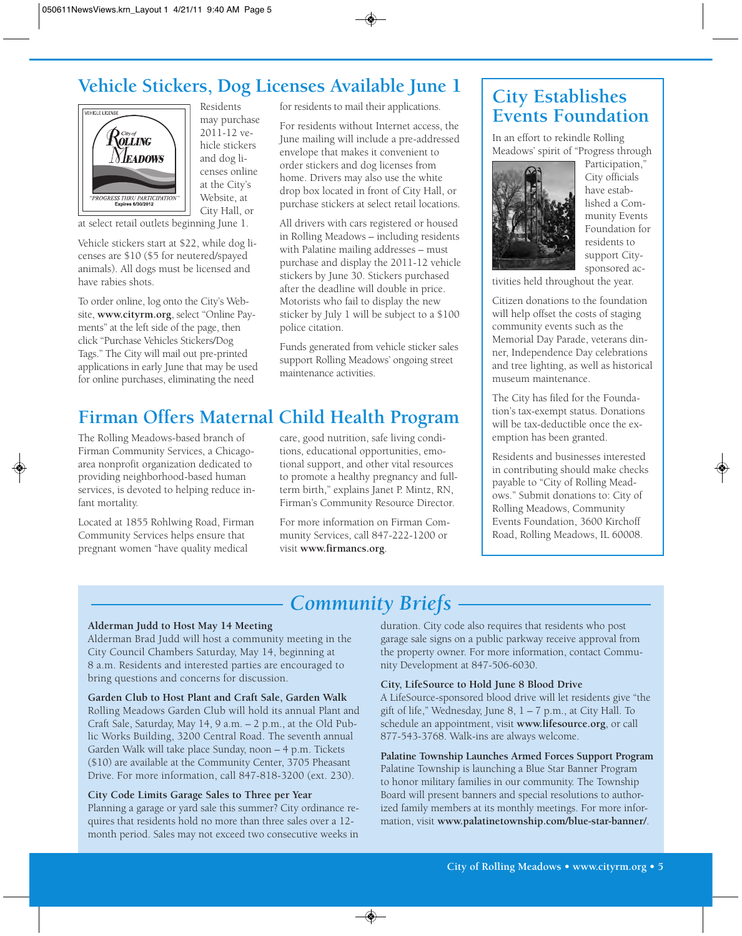## **Vehicle Stickers, Dog Licenses Available June 1**



Residents may purchase 2011-12 vehicle stickers and dog licenses online at the City's Website, at City Hall, or

at select retail outlets beginning June 1.

Vehicle stickers start at \$22, while dog licenses are \$10 (\$5 for neutered/spayed animals). All dogs must be licensed and have rabies shots.

To order online, log onto the City's Website, **www.cityrm.org**, select "Online Payments" at the left side of the page, then click "Purchase Vehicles Stickers/Dog Tags." The City will mail out pre-printed applications in early June that may be used for online purchases, eliminating the need

for residents to mail their applications.

For residents without Internet access, the June mailing will include a pre-addressed envelope that makes it convenient to order stickers and dog licenses from home. Drivers may also use the white drop box located in front of City Hall, or purchase stickers at select retail locations.

All drivers with cars registered or housed in Rolling Meadows – including residents with Palatine mailing addresses – must purchase and display the 2011-12 vehicle stickers by June 30. Stickers purchased after the deadline will double in price. Motorists who fail to display the new sticker by July 1 will be subject to a \$100 police citation.

Funds generated from vehicle sticker sales support Rolling Meadows' ongoing street maintenance activities.

## **Firman Offers Maternal Child Health Program**

The Rolling Meadows-based branch of Firman Community Services, a Chicagoarea nonprofit organization dedicated to providing neighborhood-based human services, is devoted to helping reduce infant mortality.

Located at 1855 Rohlwing Road, Firman Community Services helps ensure that pregnant women "have quality medical

care, good nutrition, safe living conditions, educational opportunities, emotional support, and other vital resources to promote a healthy pregnancy and fullterm birth," explains Janet P. Mintz, RN, Firman's Community Resource Director.

For more information on Firman Community Services, call 847-222-1200 or visit **www.firmancs.org**.

### **City Establishes Events Foundation**

In an effort to rekindle Rolling Meadows' spirit of "Progress through



Participation," City officials have established a Community Events Foundation for residents to support Citysponsored ac-

tivities held throughout the year.

Citizen donations to the foundation will help offset the costs of staging community events such as the Memorial Day Parade, veterans dinner, Independence Day celebrations and tree lighting, as well as historical museum maintenance.

The City has filed for the Foundation's tax-exempt status. Donations will be tax-deductible once the exemption has been granted.

Residents and businesses interested in contributing should make checks payable to "City of Rolling Meadows." Submit donations to: City of Rolling Meadows, Community Events Foundation, 3600 Kirchoff Road, Rolling Meadows, IL 60008.

### *Community Briefs*

#### **Alderman Judd to Host May 14 Meeting**

Alderman Brad Judd will host a community meeting in the City Council Chambers Saturday, May 14, beginning at 8 a.m. Residents and interested parties are encouraged to bring questions and concerns for discussion.

**Garden Club to Host Plant and Craft Sale, Garden Walk**

Rolling Meadows Garden Club will hold its annual Plant and Craft Sale, Saturday, May 14, 9 a.m. – 2 p.m., at the Old Public Works Building, 3200 Central Road. The seventh annual Garden Walk will take place Sunday, noon – 4 p.m. Tickets (\$10) are available at the Community Center, 3705 Pheasant Drive. For more information, call 847-818-3200 (ext. 230).

#### **City Code Limits Garage Sales to Three per Year**

Planning a garage or yard sale this summer? City ordinance requires that residents hold no more than three sales over a 12 month period. Sales may not exceed two consecutive weeks in

duration. City code also requires that residents who post garage sale signs on a public parkway receive approval from the property owner. For more information, contact Community Development at 847-506-6030.

#### **City, LifeSource to Hold June 8 Blood Drive**

A LifeSource-sponsored blood drive will let residents give "the gift of life," Wednesday, June  $8$ ,  $1 - 7$  p.m., at City Hall. To schedule an appointment, visit **www.lifesource.org**, or call 877-543-3768. Walk-ins are always welcome.

**Palatine Township Launches Armed Forces Support Program** Palatine Township is launching a Blue Star Banner Program to honor military families in our community. The Township Board will present banners and special resolutions to authorized family members at its monthly meetings. For more information, visit **www.palatinetownship.com/blue-star-banner/**.